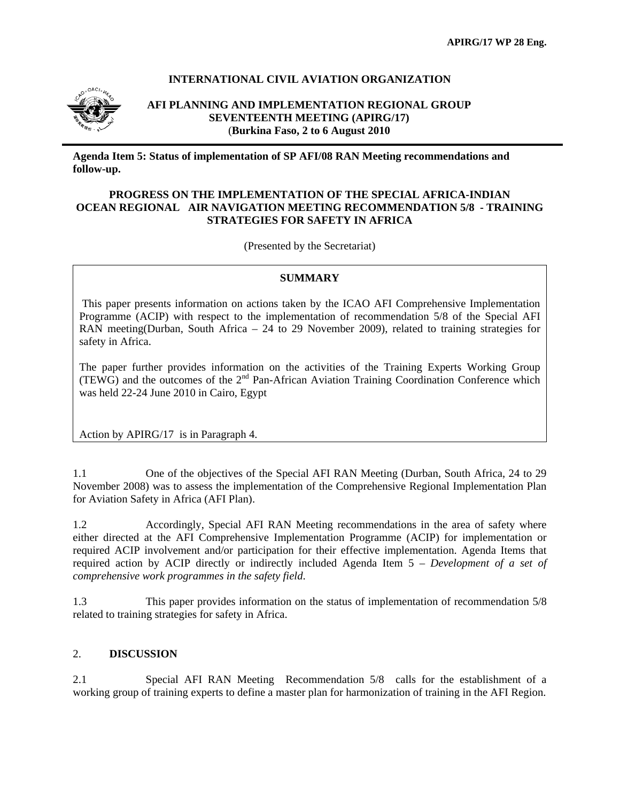#### **INTERNATIONAL CIVIL AVIATION ORGANIZATION**



#### **AFI PLANNING AND IMPLEMENTATION REGIONAL GROUP SEVENTEENTH MEETING (APIRG/17)** (**Burkina Faso, 2 to 6 August 2010**

**Agenda Item 5: Status of implementation of SP AFI/08 RAN Meeting recommendations and follow-up.** 

#### **PROGRESS ON THE IMPLEMENTATION OF THE SPECIAL AFRICA-INDIAN OCEAN REGIONAL AIR NAVIGATION MEETING RECOMMENDATION 5/8 - TRAINING STRATEGIES FOR SAFETY IN AFRICA**

(Presented by the Secretariat)

### **SUMMARY**

 This paper presents information on actions taken by the ICAO AFI Comprehensive Implementation Programme (ACIP) with respect to the implementation of recommendation 5/8 of the Special AFI RAN meeting(Durban, South Africa – 24 to 29 November 2009), related to training strategies for safety in Africa.

The paper further provides information on the activities of the Training Experts Working Group (TEWG) and the outcomes of the 2nd Pan-African Aviation Training Coordination Conference which was held 22-24 June 2010 in Cairo, Egypt

Action by APIRG/17 is in Paragraph 4.

1.1 One of the objectives of the Special AFI RAN Meeting (Durban, South Africa, 24 to 29 November 2008) was to assess the implementation of the Comprehensive Regional Implementation Plan for Aviation Safety in Africa (AFI Plan).

1.2 Accordingly, Special AFI RAN Meeting recommendations in the area of safety where either directed at the AFI Comprehensive Implementation Programme (ACIP) for implementation or required ACIP involvement and/or participation for their effective implementation. Agenda Items that required action by ACIP directly or indirectly included Agenda Item 5 – *Development of a set of comprehensive work programmes in the safety field*.

1.3 This paper provides information on the status of implementation of recommendation 5/8 related to training strategies for safety in Africa.

#### 2. **DISCUSSION**

2.1 Special AFI RAN Meeting Recommendation 5/8 calls for the establishment of a working group of training experts to define a master plan for harmonization of training in the AFI Region.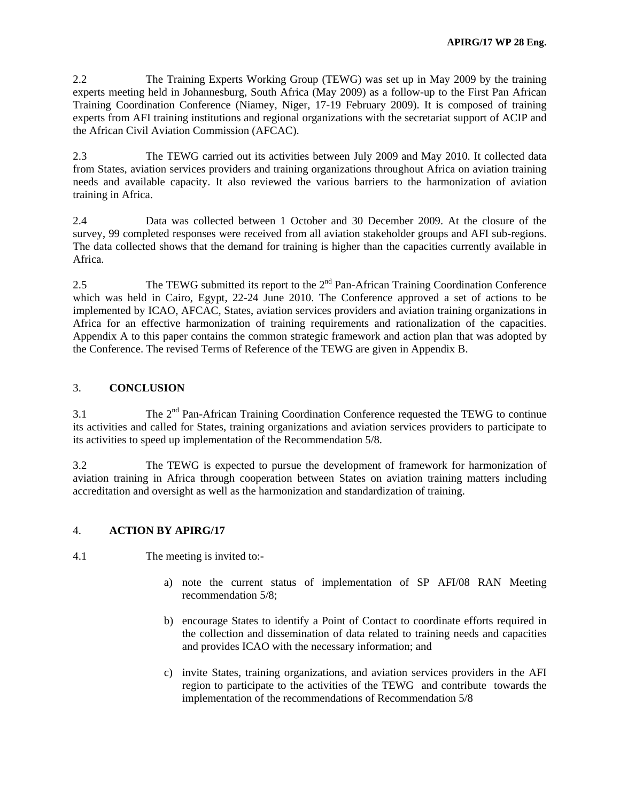2.2 The Training Experts Working Group (TEWG) was set up in May 2009 by the training experts meeting held in Johannesburg, South Africa (May 2009) as a follow-up to the First Pan African Training Coordination Conference (Niamey, Niger, 17-19 February 2009). It is composed of training experts from AFI training institutions and regional organizations with the secretariat support of ACIP and the African Civil Aviation Commission (AFCAC).

2.3 The TEWG carried out its activities between July 2009 and May 2010. It collected data from States, aviation services providers and training organizations throughout Africa on aviation training needs and available capacity. It also reviewed the various barriers to the harmonization of aviation training in Africa.

2.4 Data was collected between 1 October and 30 December 2009. At the closure of the survey, 99 completed responses were received from all aviation stakeholder groups and AFI sub-regions. The data collected shows that the demand for training is higher than the capacities currently available in Africa.

2.5 The TEWG submitted its report to the  $2<sup>nd</sup>$  Pan-African Training Coordination Conference which was held in Cairo, Egypt, 22-24 June 2010. The Conference approved a set of actions to be implemented by ICAO, AFCAC, States, aviation services providers and aviation training organizations in Africa for an effective harmonization of training requirements and rationalization of the capacities. Appendix A to this paper contains the common strategic framework and action plan that was adopted by the Conference. The revised Terms of Reference of the TEWG are given in Appendix B.

### 3. **CONCLUSION**

 $3.1$  The  $2<sup>nd</sup>$  Pan-African Training Coordination Conference requested the TEWG to continue its activities and called for States, training organizations and aviation services providers to participate to its activities to speed up implementation of the Recommendation 5/8.

3.2 The TEWG is expected to pursue the development of framework for harmonization of aviation training in Africa through cooperation between States on aviation training matters including accreditation and oversight as well as the harmonization and standardization of training.

### 4. **ACTION BY APIRG/17**

- 4.1 The meeting is invited to:
	- a) note the current status of implementation of SP AFI/08 RAN Meeting recommendation 5/8;
	- b) encourage States to identify a Point of Contact to coordinate efforts required in the collection and dissemination of data related to training needs and capacities and provides ICAO with the necessary information; and
	- c) invite States, training organizations, and aviation services providers in the AFI region to participate to the activities of the TEWG and contribute towards the implementation of the recommendations of Recommendation 5/8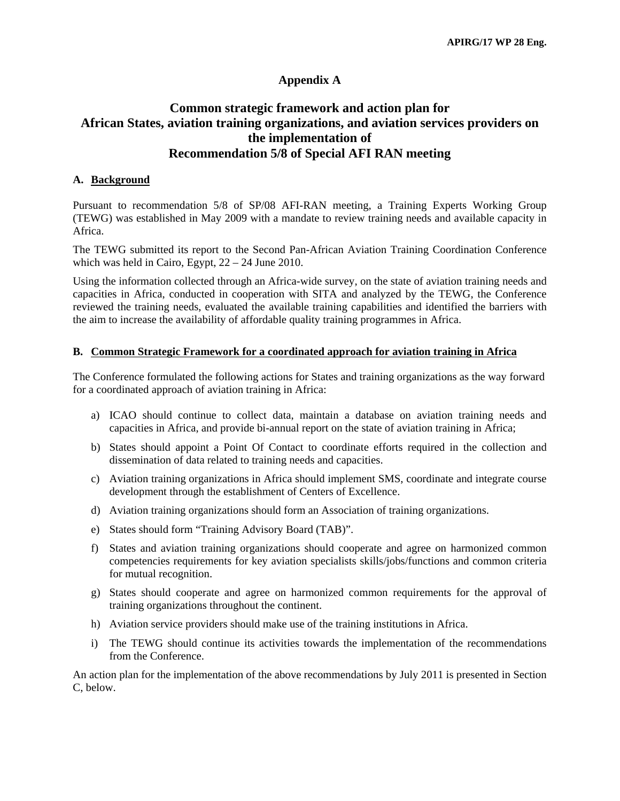## **Appendix A**

# **Common strategic framework and action plan for African States, aviation training organizations, and aviation services providers on the implementation of Recommendation 5/8 of Special AFI RAN meeting**

#### **A. Background**

Pursuant to recommendation 5/8 of SP/08 AFI-RAN meeting, a Training Experts Working Group (TEWG) was established in May 2009 with a mandate to review training needs and available capacity in Africa.

The TEWG submitted its report to the Second Pan-African Aviation Training Coordination Conference which was held in Cairo, Egypt, 22 – 24 June 2010.

Using the information collected through an Africa-wide survey, on the state of aviation training needs and capacities in Africa, conducted in cooperation with SITA and analyzed by the TEWG, the Conference reviewed the training needs, evaluated the available training capabilities and identified the barriers with the aim to increase the availability of affordable quality training programmes in Africa.

#### **B. Common Strategic Framework for a coordinated approach for aviation training in Africa**

The Conference formulated the following actions for States and training organizations as the way forward for a coordinated approach of aviation training in Africa:

- a) ICAO should continue to collect data, maintain a database on aviation training needs and capacities in Africa, and provide bi-annual report on the state of aviation training in Africa;
- b) States should appoint a Point Of Contact to coordinate efforts required in the collection and dissemination of data related to training needs and capacities.
- c) Aviation training organizations in Africa should implement SMS, coordinate and integrate course development through the establishment of Centers of Excellence.
- d) Aviation training organizations should form an Association of training organizations.
- e) States should form "Training Advisory Board (TAB)".
- f) States and aviation training organizations should cooperate and agree on harmonized common competencies requirements for key aviation specialists skills/jobs/functions and common criteria for mutual recognition.
- g) States should cooperate and agree on harmonized common requirements for the approval of training organizations throughout the continent.
- h) Aviation service providers should make use of the training institutions in Africa.
- i) The TEWG should continue its activities towards the implementation of the recommendations from the Conference.

An action plan for the implementation of the above recommendations by July 2011 is presented in Section C, below.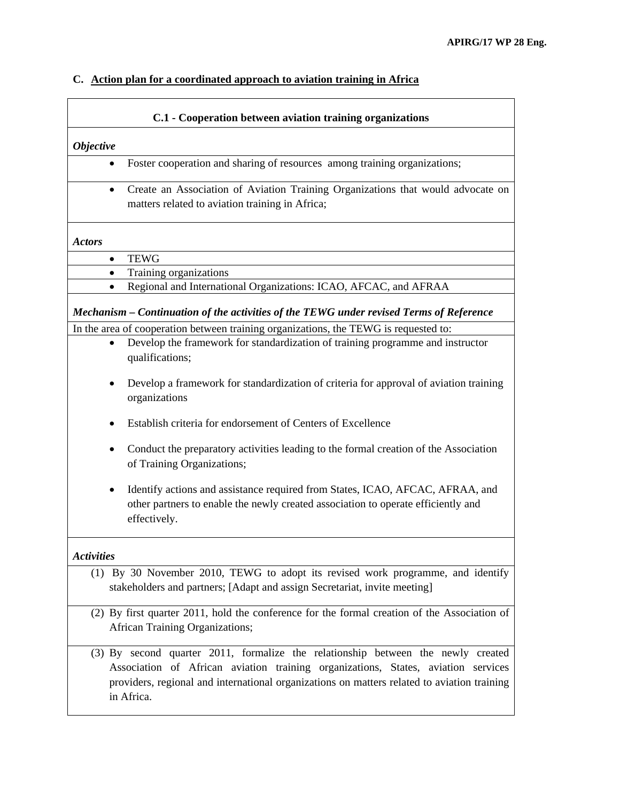# **C. Action plan for a coordinated approach to aviation training in Africa**

| C.1 - Cooperation between aviation training organizations                                                                                                                                                                                                                          |  |  |
|------------------------------------------------------------------------------------------------------------------------------------------------------------------------------------------------------------------------------------------------------------------------------------|--|--|
| <b>Objective</b>                                                                                                                                                                                                                                                                   |  |  |
| Foster cooperation and sharing of resources among training organizations;<br>$\bullet$                                                                                                                                                                                             |  |  |
| Create an Association of Aviation Training Organizations that would advocate on<br>$\bullet$<br>matters related to aviation training in Africa;                                                                                                                                    |  |  |
| <b>Actors</b>                                                                                                                                                                                                                                                                      |  |  |
| <b>TEWG</b><br>$\bullet$                                                                                                                                                                                                                                                           |  |  |
| Training organizations<br>$\bullet$                                                                                                                                                                                                                                                |  |  |
| Regional and International Organizations: ICAO, AFCAC, and AFRAA<br>$\bullet$                                                                                                                                                                                                      |  |  |
| Mechanism – Continuation of the activities of the TEWG under revised Terms of Reference                                                                                                                                                                                            |  |  |
| In the area of cooperation between training organizations, the TEWG is requested to:                                                                                                                                                                                               |  |  |
| Develop the framework for standardization of training programme and instructor<br>$\bullet$<br>qualifications;                                                                                                                                                                     |  |  |
| Develop a framework for standardization of criteria for approval of aviation training<br>٠<br>organizations                                                                                                                                                                        |  |  |
| Establish criteria for endorsement of Centers of Excellence                                                                                                                                                                                                                        |  |  |
| Conduct the preparatory activities leading to the formal creation of the Association<br>of Training Organizations;                                                                                                                                                                 |  |  |
| Identify actions and assistance required from States, ICAO, AFCAC, AFRAA, and<br>٠<br>other partners to enable the newly created association to operate efficiently and<br>effectively.                                                                                            |  |  |
| <b>Activities</b>                                                                                                                                                                                                                                                                  |  |  |
| (1) By 30 November 2010, TEWG to adopt its revised work programme, and identify<br>stakeholders and partners; [Adapt and assign Secretariat, invite meeting]                                                                                                                       |  |  |
| (2) By first quarter 2011, hold the conference for the formal creation of the Association of<br>African Training Organizations;                                                                                                                                                    |  |  |
| (3) By second quarter 2011, formalize the relationship between the newly created<br>Association of African aviation training organizations, States, aviation services<br>providers, regional and international organizations on matters related to aviation training<br>in Africa. |  |  |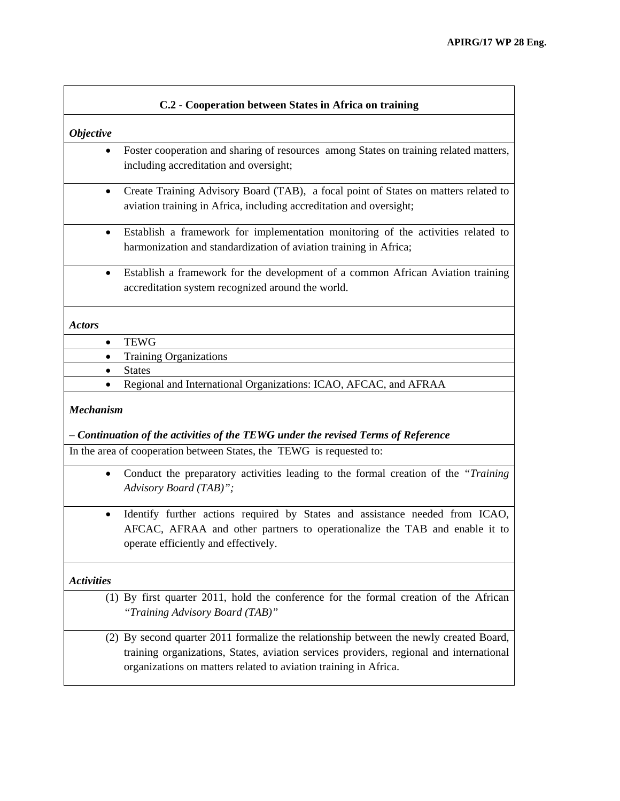| C.2 - Cooperation between States in Africa on training |                                                                                                                                                            |  |
|--------------------------------------------------------|------------------------------------------------------------------------------------------------------------------------------------------------------------|--|
| <b>Objective</b>                                       |                                                                                                                                                            |  |
| $\bullet$                                              | Foster cooperation and sharing of resources among States on training related matters,<br>including accreditation and oversight;                            |  |
|                                                        | Create Training Advisory Board (TAB), a focal point of States on matters related to<br>aviation training in Africa, including accreditation and oversight; |  |
| $\bullet$                                              | Establish a framework for implementation monitoring of the activities related to<br>harmonization and standardization of aviation training in Africa;      |  |
| $\bullet$                                              | Establish a framework for the development of a common African Aviation training<br>accreditation system recognized around the world.                       |  |
| <b>Actors</b>                                          |                                                                                                                                                            |  |
| $\bullet$                                              | <b>TEWG</b>                                                                                                                                                |  |
| ٠                                                      | <b>Training Organizations</b>                                                                                                                              |  |
|                                                        | <b>States</b>                                                                                                                                              |  |
|                                                        | Regional and International Organizations: ICAO, AFCAC, and AFRAA                                                                                           |  |

#### *Mechanism*

#### *– Continuation of the activities of the TEWG under the revised Terms of Reference*

In the area of cooperation between States, the TEWG is requested to:

- Conduct the preparatory activities leading to the formal creation of the *"Training Advisory Board (TAB)";*
- Identify further actions required by States and assistance needed from ICAO, AFCAC, AFRAA and other partners to operationalize the TAB and enable it to operate efficiently and effectively.

#### *Activities*

(1) By first quarter 2011, hold the conference for the formal creation of the African *"Training Advisory Board (TAB)"* 

(2) By second quarter 2011 formalize the relationship between the newly created Board, training organizations, States, aviation services providers, regional and international organizations on matters related to aviation training in Africa.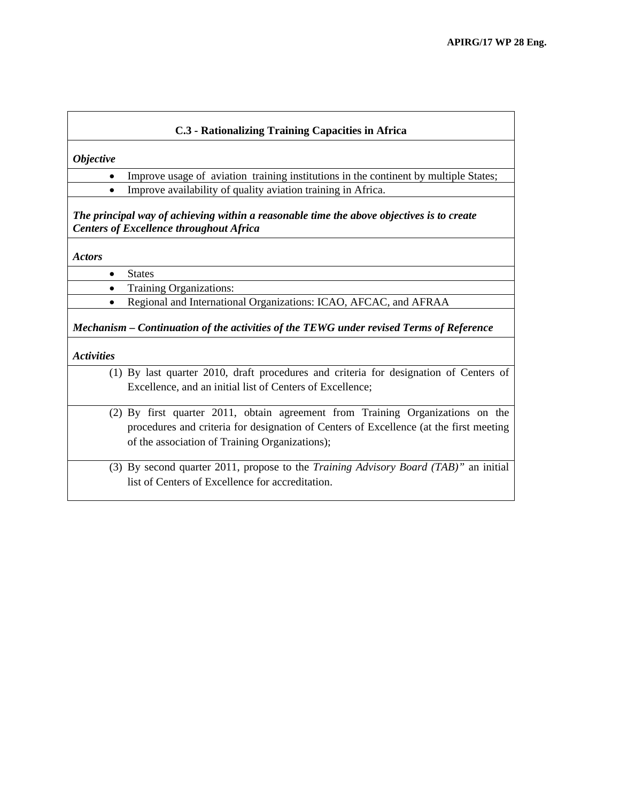#### **C.3 - Rationalizing Training Capacities in Africa**

*Objective* 

- Improve usage of aviation training institutions in the continent by multiple States;
- Improve availability of quality aviation training in Africa.

*The principal way of achieving within a reasonable time the above objectives is to create Centers of Excellence throughout Africa* 

*Actors* 

• States

• Training Organizations:

• Regional and International Organizations: ICAO, AFCAC, and AFRAA

*Mechanism – Continuation of the activities of the TEWG under revised Terms of Reference* 

*Activities* 

- (1) By last quarter 2010, draft procedures and criteria for designation of Centers of Excellence, and an initial list of Centers of Excellence;
- (2) By first quarter 2011, obtain agreement from Training Organizations on the procedures and criteria for designation of Centers of Excellence (at the first meeting of the association of Training Organizations);
- (3) By second quarter 2011, propose to the *Training Advisory Board (TAB)"* an initial list of Centers of Excellence for accreditation.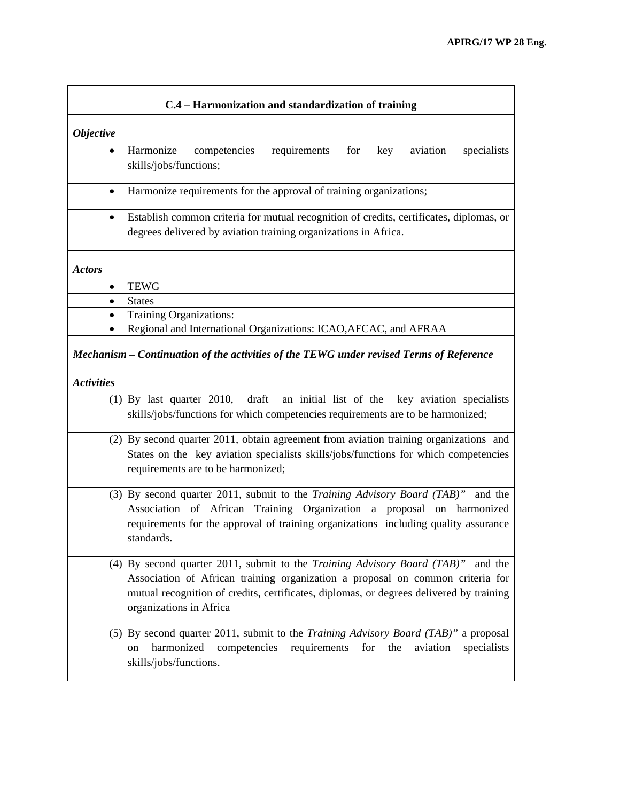|                                                                                                              | C.4 – Harmonization and standardization of training                                                                                                                                                                                                                                         |  |
|--------------------------------------------------------------------------------------------------------------|---------------------------------------------------------------------------------------------------------------------------------------------------------------------------------------------------------------------------------------------------------------------------------------------|--|
| <b>Objective</b>                                                                                             |                                                                                                                                                                                                                                                                                             |  |
| $\bullet$                                                                                                    | Harmonize<br>competencies<br>requirements<br>for<br>key<br>aviation<br>specialists<br>skills/jobs/functions;                                                                                                                                                                                |  |
| $\bullet$                                                                                                    | Harmonize requirements for the approval of training organizations;                                                                                                                                                                                                                          |  |
| $\bullet$                                                                                                    | Establish common criteria for mutual recognition of credits, certificates, diplomas, or<br>degrees delivered by aviation training organizations in Africa.                                                                                                                                  |  |
| <b>Actors</b>                                                                                                |                                                                                                                                                                                                                                                                                             |  |
| $\bullet$                                                                                                    | <b>TEWG</b>                                                                                                                                                                                                                                                                                 |  |
| $\bullet$                                                                                                    | <b>States</b>                                                                                                                                                                                                                                                                               |  |
| $\bullet$                                                                                                    | Training Organizations:                                                                                                                                                                                                                                                                     |  |
| $\bullet$                                                                                                    | Regional and International Organizations: ICAO, AFCAC, and AFRAA                                                                                                                                                                                                                            |  |
| Mechanism – Continuation of the activities of the TEWG under revised Terms of Reference<br><b>Activities</b> |                                                                                                                                                                                                                                                                                             |  |
|                                                                                                              | $(1)$ By last quarter 2010,<br>draft<br>an initial list of the<br>key aviation specialists<br>skills/jobs/functions for which competencies requirements are to be harmonized;                                                                                                               |  |
|                                                                                                              | (2) By second quarter 2011, obtain agreement from aviation training organizations and<br>States on the key aviation specialists skills/jobs/functions for which competencies<br>requirements are to be harmonized;                                                                          |  |
|                                                                                                              | (3) By second quarter 2011, submit to the Training Advisory Board (TAB)"<br>and the<br>Association of African Training Organization a proposal on harmonized<br>requirements for the approval of training organizations including quality assurance<br>standards.                           |  |
|                                                                                                              | (4) By second quarter 2011, submit to the Training Advisory Board (TAB)"<br>and the<br>Association of African training organization a proposal on common criteria for<br>mutual recognition of credits, certificates, diplomas, or degrees delivered by training<br>organizations in Africa |  |
|                                                                                                              | (5) By second quarter 2011, submit to the <i>Training Advisory Board (TAB)</i> " a proposal<br>harmonized<br>competencies requirements for the<br>aviation<br>specialists<br>on<br>skills/jobs/functions.                                                                                   |  |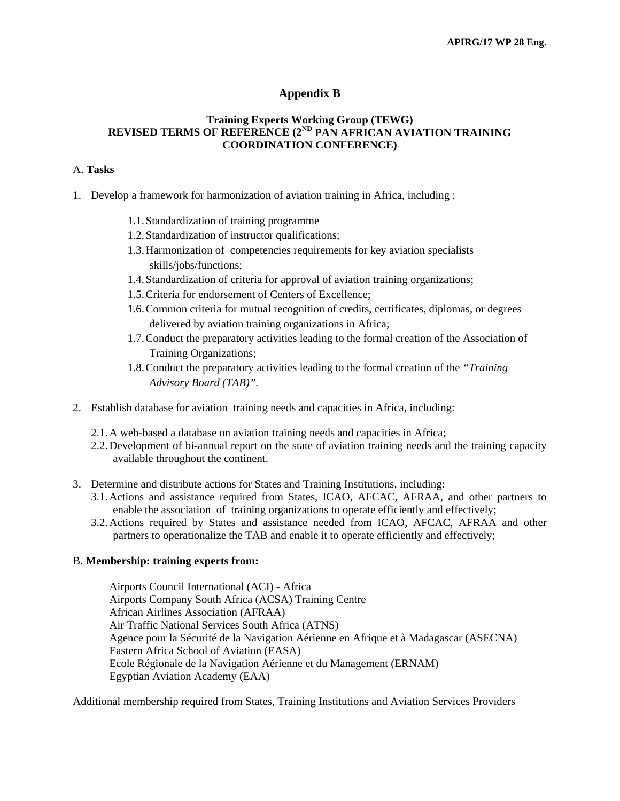## **Appendix B**

#### **Training Experts Working Group (TEWG) REVISED TERMS OF REFERENCE (2ND PAN AFRICAN AVIATION TRAINING COORDINATION CONFERENCE)**

#### A. **Tasks**

- 1. Develop a framework for harmonization of aviation training in Africa, including :
	- 1.1.Standardization of training programme
	- 1.2.Standardization of instructor qualifications;
	- 1.3.Harmonization of competencies requirements for key aviation specialists skills/jobs/functions;
	- 1.4.Standardization of criteria for approval of aviation training organizations;
	- 1.5.Criteria for endorsement of Centers of Excellence;
	- 1.6.Common criteria for mutual recognition of credits, certificates, diplomas, or degrees delivered by aviation training organizations in Africa;
	- 1.7.Conduct the preparatory activities leading to the formal creation of the Association of Training Organizations;
	- 1.8.Conduct the preparatory activities leading to the formal creation of the *"Training Advisory Board (TAB)".*
- 2. Establish database for aviation training needs and capacities in Africa, including:
	- 2.1.A web-based a database on aviation training needs and capacities in Africa;
	- 2.2.Development of bi-annual report on the state of aviation training needs and the training capacity available throughout the continent.
- 3. Determine and distribute actions for States and Training Institutions, including:
	- 3.1.Actions and assistance required from States, ICAO, AFCAC, AFRAA, and other partners to enable the association of training organizations to operate efficiently and effectively;
	- 3.2.Actions required by States and assistance needed from ICAO, AFCAC, AFRAA and other partners to operationalize the TAB and enable it to operate efficiently and effectively;

#### B. **Membership: training experts from:**

Airports Council International (ACI) - Africa Airports Company South Africa (ACSA) Training Centre African Airlines Association (AFRAA) Air Traffic National Services South Africa (ATNS) Agence pour la Sécurité de la Navigation Aérienne en Afrique et à Madagascar (ASECNA) Eastern Africa School of Aviation (EASA) Ecole Régionale de la Navigation Aérienne et du Management (ERNAM) Egyptian Aviation Academy (EAA)

Additional membership required from States, Training Institutions and Aviation Services Providers